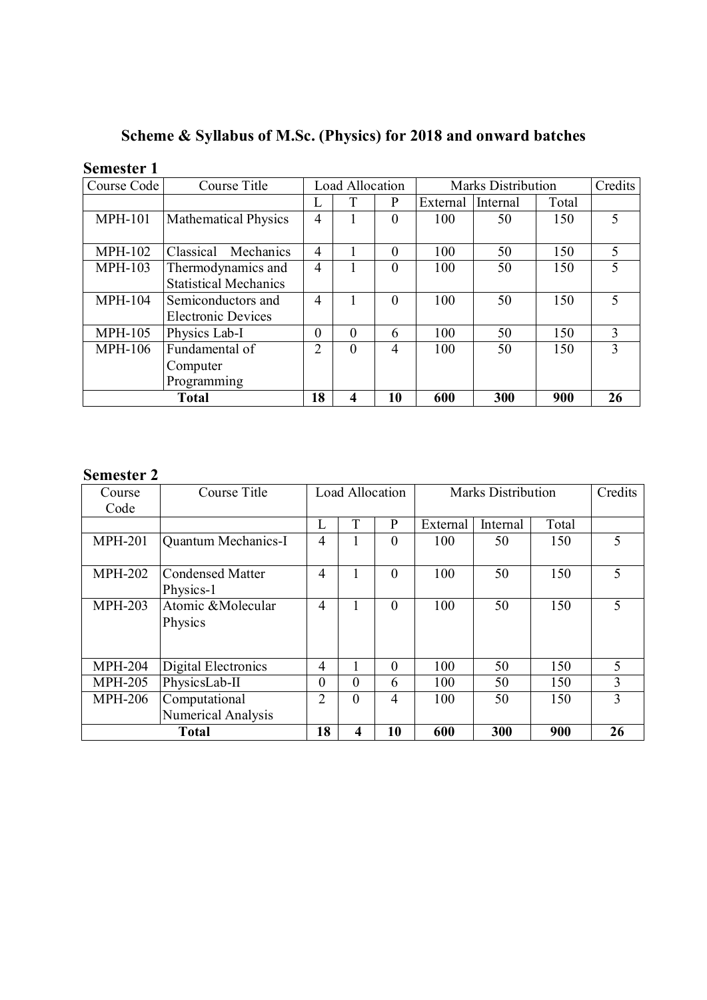Scheme & Syllabus of M.Sc. (Physics) for 2018 and onward batches

| <b>Semester 1</b> |  |
|-------------------|--|
|-------------------|--|

| Course Code    | Course Title                          | <b>Load Allocation</b>     |          |                | <b>Marks Distribution</b> |          |       | Credits |
|----------------|---------------------------------------|----------------------------|----------|----------------|---------------------------|----------|-------|---------|
|                |                                       | L                          | T        | P              | External                  | Internal | Total |         |
| <b>MPH-101</b> | <b>Mathematical Physics</b>           |                            |          | $\Omega$       | 100                       | 50       | 150   | 5       |
|                |                                       |                            |          |                |                           |          |       |         |
| <b>MPH-102</b> | Classical<br>Mechanics                | 4                          |          | $\Omega$       | 100                       | 50       | 150   | 5       |
| <b>MPH-103</b> | Thermodynamics and                    | $\overline{4}$<br>$\Omega$ |          | 100            | 50                        | 150      | 5     |         |
|                | <b>Statistical Mechanics</b>          |                            |          |                |                           |          |       |         |
| <b>MPH-104</b> | Semiconductors and                    | $\overline{4}$             |          | $\Omega$       | 100                       | 50       | 150   | 5       |
|                | <b>Electronic Devices</b>             |                            |          |                |                           |          |       |         |
| <b>MPH-105</b> | Physics Lab-I<br>$\theta$<br>$\theta$ |                            |          | 6              | 100                       | 50       | 150   | 3       |
| <b>MPH-106</b> | Fundamental of                        | $\overline{2}$             | $\theta$ | $\overline{4}$ | 100                       | 50       | 150   | 3       |
|                | Computer                              |                            |          |                |                           |          |       |         |
|                | Programming                           |                            |          |                |                           |          |       |         |
| <b>Total</b>   |                                       | 18                         | 4        | 10             | 600                       | 300      | 900   | 26      |

# Semester 2

| Course         | Course Title               | Load Allocation |          | <b>Marks Distribution</b> |          |          | Credits |    |
|----------------|----------------------------|-----------------|----------|---------------------------|----------|----------|---------|----|
| Code           |                            |                 |          |                           |          |          |         |    |
|                |                            | L               | T        | P                         | External | Internal | Total   |    |
| <b>MPH-201</b> | <b>Quantum Mechanics-I</b> | 4               | J.       | $\Omega$                  | 100      | 50       | 150     | 5  |
|                |                            |                 |          |                           |          |          |         |    |
| <b>MPH-202</b> | <b>Condensed Matter</b>    | $\overline{4}$  |          | $\theta$                  | 100      | 50       | 150     | 5  |
|                | Physics-1                  |                 |          |                           |          |          |         |    |
| <b>MPH-203</b> | Atomic & Molecular         | 4               |          | $\overline{0}$            | 100      | 50       | 150     | 5  |
|                | Physics                    |                 |          |                           |          |          |         |    |
|                |                            |                 |          |                           |          |          |         |    |
|                |                            |                 |          |                           |          |          |         |    |
| <b>MPH-204</b> | Digital Electronics        | 4               | J.       | $\theta$                  | 100      | 50       | 150     | 5  |
| <b>MPH-205</b> | PhysicsLab-II              | $\theta$        | $\theta$ | 6                         | 100      | 50       | 150     | 3  |
| <b>MPH-206</b> | Computational              | $\overline{2}$  | $\theta$ | $\overline{4}$            | 100      | 50       | 150     | 3  |
|                | <b>Numerical Analysis</b>  |                 |          |                           |          |          |         |    |
| <b>Total</b>   |                            | 18              | 4        | 10                        | 600      | 300      | 900     | 26 |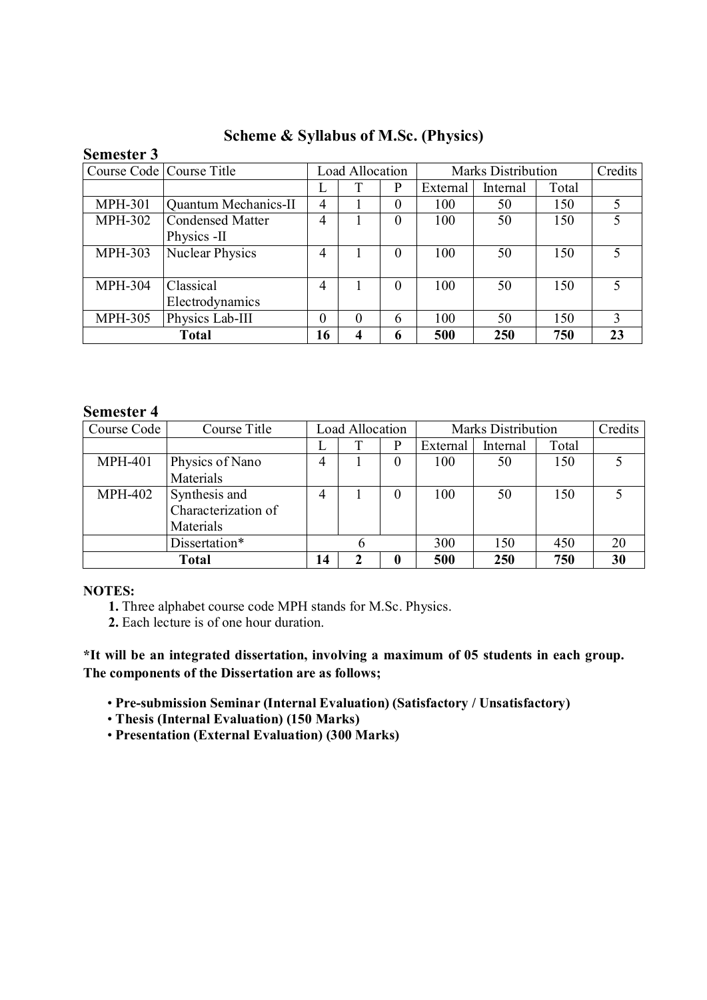| <b>Semester 3</b> |                             |                 |          |                |                           |          |       |         |
|-------------------|-----------------------------|-----------------|----------|----------------|---------------------------|----------|-------|---------|
|                   | Course Code   Course Title  | Load Allocation |          |                | <b>Marks Distribution</b> |          |       | Credits |
|                   |                             |                 |          | P              | External                  | Internal | Total |         |
| <b>MPH-301</b>    | <b>Quantum Mechanics-II</b> | 4               |          | 0              | 100                       | 50       | 150   |         |
| <b>MPH-302</b>    | Condensed Matter            | 4               |          | $\overline{0}$ | 100                       | 50       | 150   | 5       |
|                   | Physics -II                 |                 |          |                |                           |          |       |         |
| <b>MPH-303</b>    | <b>Nuclear Physics</b>      | 4               |          | $\theta$       | 100                       | 50       | 150   | 5       |
|                   |                             |                 |          |                |                           |          |       |         |
| <b>MPH-304</b>    | Classical                   | 4               |          | $\Omega$       | 100                       | 50       | 150   | 5       |
|                   | Electrodynamics             |                 |          |                |                           |          |       |         |
| <b>MPH-305</b>    | Physics Lab-III             | 0               | $\Omega$ | 6              | 100                       | 50       | 150   | 3       |
|                   | 16                          | 4               | 6        | 500            | 250                       | 750      | 23    |         |

Scheme & Syllabus of M.Sc. (Physics)

# Semester 4

| Course Code    | Course Title                                      | Load Allocation |   | <b>Marks Distribution</b> | Credits  |          |       |    |
|----------------|---------------------------------------------------|-----------------|---|---------------------------|----------|----------|-------|----|
|                |                                                   | ⊥               |   | p                         | External | Internal | Total |    |
| <b>MPH-401</b> | Physics of Nano<br>Materials                      | 4               |   | $\theta$                  | 100      | 50       | 150   |    |
| <b>MPH-402</b> | Synthesis and<br>Characterization of<br>Materials | 4               |   | $\theta$                  | 100      | 50       | 150   |    |
|                | Dissertation*                                     |                 |   |                           | 300      | 150      | 450   | 20 |
| <b>Total</b>   |                                                   | 14              | 2 | 0                         | 500      | 250      | 750   | 30 |

# NOTES:

1. Three alphabet course code MPH stands for M.Sc. Physics.

2. Each lecture is of one hour duration.

\*It will be an integrated dissertation, involving a maximum of 05 students in each group. The components of the Dissertation are as follows;

• Pre-submission Seminar (Internal Evaluation) (Satisfactory / Unsatisfactory)

• Thesis (Internal Evaluation) (150 Marks)

• Presentation (External Evaluation) (300 Marks)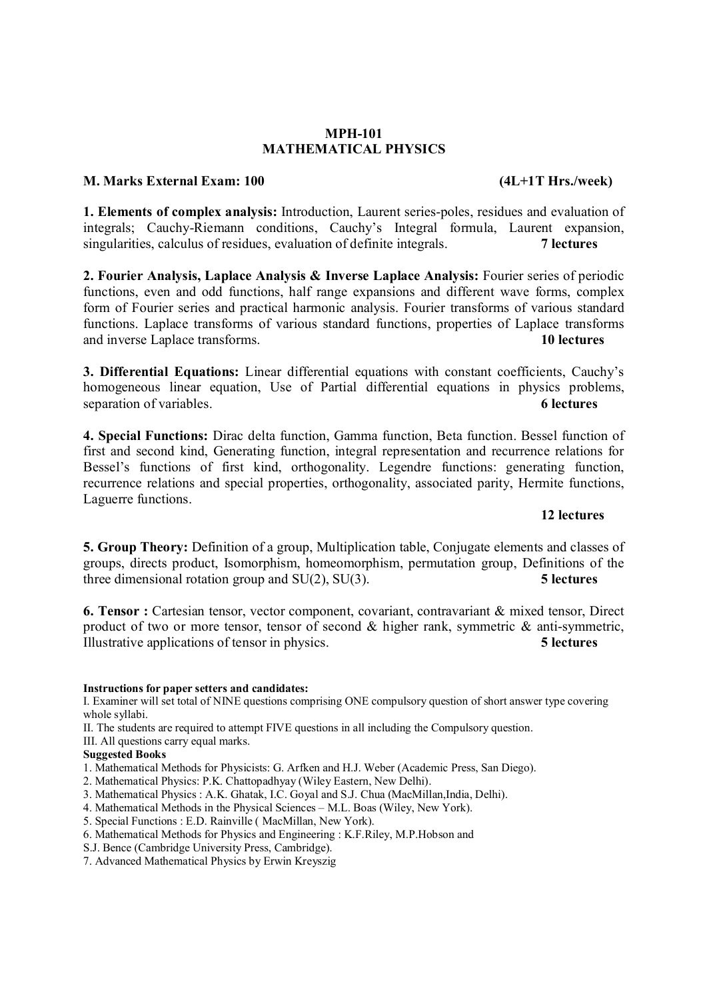#### MPH-101 MATHEMATICAL PHYSICS

#### M. Marks External Exam: 100 (4L+1T Hrs./week)

1. Elements of complex analysis: Introduction, Laurent series-poles, residues and evaluation of integrals; Cauchy-Riemann conditions, Cauchy's Integral formula, Laurent expansion, singularities, calculus of residues, evaluation of definite integrals. 7 lectures

2. Fourier Analysis, Laplace Analysis & Inverse Laplace Analysis: Fourier series of periodic functions, even and odd functions, half range expansions and different wave forms, complex form of Fourier series and practical harmonic analysis. Fourier transforms of various standard functions. Laplace transforms of various standard functions, properties of Laplace transforms and inverse Laplace transforms. 10 lectures

3. Differential Equations: Linear differential equations with constant coefficients, Cauchy's homogeneous linear equation, Use of Partial differential equations in physics problems, separation of variables. 6 lectures 6 lectures

4. Special Functions: Dirac delta function, Gamma function, Beta function. Bessel function of first and second kind, Generating function, integral representation and recurrence relations for Bessel's functions of first kind, orthogonality. Legendre functions: generating function, recurrence relations and special properties, orthogonality, associated parity, Hermite functions, Laguerre functions.

#### 12 lectures

5. Group Theory: Definition of a group, Multiplication table, Conjugate elements and classes of groups, directs product, Isomorphism, homeomorphism, permutation group, Definitions of the three dimensional rotation group and  $SU(2)$ ,  $SU(3)$ . 5 lectures

6. Tensor : Cartesian tensor, vector component, covariant, contravariant & mixed tensor, Direct product of two or more tensor, tensor of second & higher rank, symmetric & anti-symmetric, Illustrative applications of tensor in physics. 5 lectures

#### Instructions for paper setters and candidates:

I. Examiner will set total of NINE questions comprising ONE compulsory question of short answer type covering whole syllabi.

II. The students are required to attempt FIVE questions in all including the Compulsory question.

III. All questions carry equal marks.

#### Suggested Books

- 1. Mathematical Methods for Physicists: G. Arfken and H.J. Weber (Academic Press, San Diego).
- 2. Mathematical Physics: P.K. Chattopadhyay (Wiley Eastern, New Delhi).
- 3. Mathematical Physics : A.K. Ghatak, I.C. Goyal and S.J. Chua (MacMillan,India, Delhi).

4. Mathematical Methods in the Physical Sciences – M.L. Boas (Wiley, New York).

- 5. Special Functions : E.D. Rainville ( MacMillan, New York).
- 6. Mathematical Methods for Physics and Engineering : K.F.Riley, M.P.Hobson and
- S.J. Bence (Cambridge University Press, Cambridge).
- 7. Advanced Mathematical Physics by Erwin Kreyszig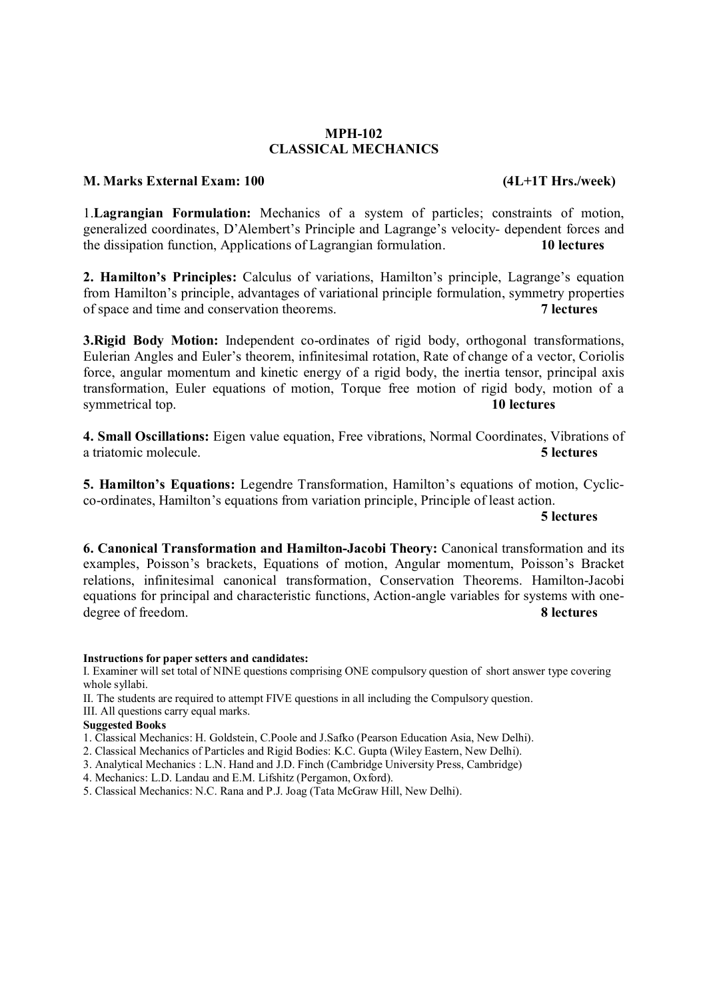#### MPH-102 CLASSICAL MECHANICS

#### M. Marks External Exam: 100 (4L+1T Hrs./week)

1.Lagrangian Formulation: Mechanics of a system of particles; constraints of motion, generalized coordinates, D'Alembert's Principle and Lagrange's velocity- dependent forces and the dissipation function, Applications of Lagrangian formulation. 10 lectures

2. Hamilton's Principles: Calculus of variations, Hamilton's principle, Lagrange's equation from Hamilton's principle, advantages of variational principle formulation, symmetry properties<br>of space and time and conservation theorems of space and time and conservation theorems.

3.Rigid Body Motion: Independent co-ordinates of rigid body, orthogonal transformations, Eulerian Angles and Euler's theorem, infinitesimal rotation, Rate of change of a vector, Coriolis force, angular momentum and kinetic energy of a rigid body, the inertia tensor, principal axis transformation, Euler equations of motion, Torque free motion of rigid body, motion of a symmetrical top. 10 lectures

4. Small Oscillations: Eigen value equation, Free vibrations, Normal Coordinates, Vibrations of a triatomic molecule. 5 lectures

5. Hamilton's Equations: Legendre Transformation, Hamilton's equations of motion, Cyclicco-ordinates, Hamilton's equations from variation principle, Principle of least action.

5 lectures

6. Canonical Transformation and Hamilton-Jacobi Theory: Canonical transformation and its examples, Poisson's brackets, Equations of motion, Angular momentum, Poisson's Bracket relations, infinitesimal canonical transformation, Conservation Theorems. Hamilton-Jacobi equations for principal and characteristic functions, Action-angle variables for systems with onedegree of freedom. 8 lectures

#### Instructions for paper setters and candidates:

I. Examiner will set total of NINE questions comprising ONE compulsory question of short answer type covering whole syllabi.

II. The students are required to attempt FIVE questions in all including the Compulsory question. III. All questions carry equal marks.

#### Suggested Books

1. Classical Mechanics: H. Goldstein, C.Poole and J.Safko (Pearson Education Asia, New Delhi).

- 2. Classical Mechanics of Particles and Rigid Bodies: K.C. Gupta (Wiley Eastern, New Delhi).
- 3. Analytical Mechanics : L.N. Hand and J.D. Finch (Cambridge University Press, Cambridge)
- 4. Mechanics: L.D. Landau and E.M. Lifshitz (Pergamon, Oxford).
- 5. Classical Mechanics: N.C. Rana and P.J. Joag (Tata McGraw Hill, New Delhi).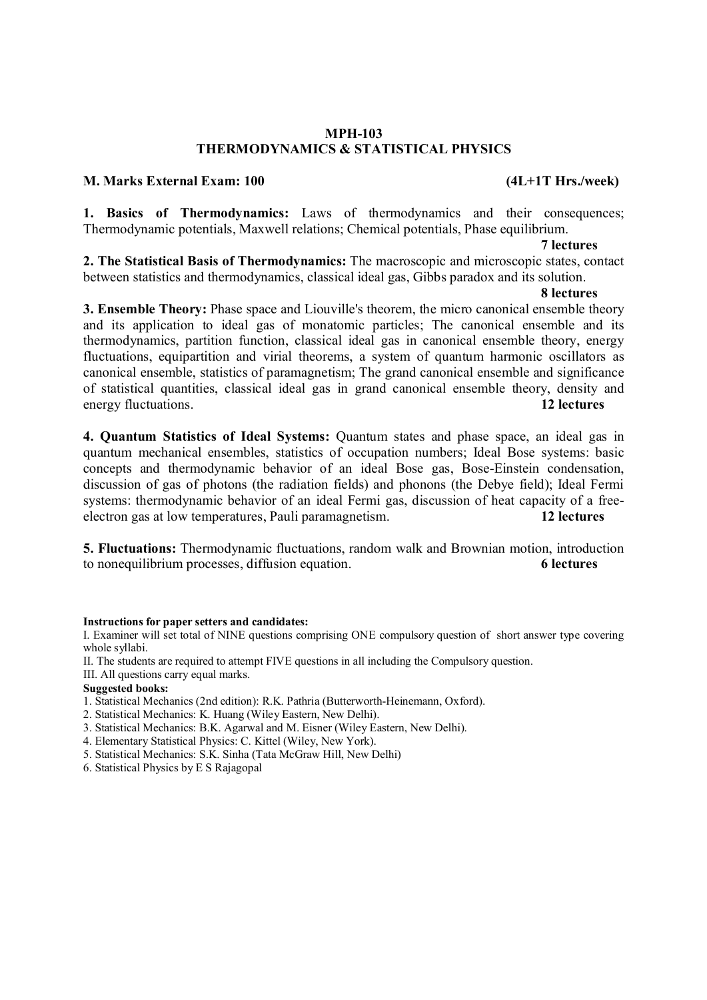#### MPH-103 THERMODYNAMICS & STATISTICAL PHYSICS

### M. Marks External Exam: 100 (4L+1T Hrs./week)

1. Basics of Thermodynamics: Laws of thermodynamics and their consequences; Thermodynamic potentials, Maxwell relations; Chemical potentials, Phase equilibrium.

#### 7 lectures

2. The Statistical Basis of Thermodynamics: The macroscopic and microscopic states, contact between statistics and thermodynamics, classical ideal gas, Gibbs paradox and its solution.

### 8 lectures

3. Ensemble Theory: Phase space and Liouville's theorem, the micro canonical ensemble theory and its application to ideal gas of monatomic particles; The canonical ensemble and its thermodynamics, partition function, classical ideal gas in canonical ensemble theory, energy fluctuations, equipartition and virial theorems, a system of quantum harmonic oscillators as canonical ensemble, statistics of paramagnetism; The grand canonical ensemble and significance of statistical quantities, classical ideal gas in grand canonical ensemble theory, density and energy fluctuations. 12 lectures

4. Quantum Statistics of Ideal Systems: Quantum states and phase space, an ideal gas in quantum mechanical ensembles, statistics of occupation numbers; Ideal Bose systems: basic concepts and thermodynamic behavior of an ideal Bose gas, Bose-Einstein condensation, discussion of gas of photons (the radiation fields) and phonons (the Debye field); Ideal Fermi systems: thermodynamic behavior of an ideal Fermi gas, discussion of heat capacity of a freeelectron gas at low temperatures, Pauli paramagnetism. 12 lectures

5. Fluctuations: Thermodynamic fluctuations, random walk and Brownian motion, introduction to nonequilibrium processes, diffusion equation. 6 lectures

#### Instructions for paper setters and candidates:

I. Examiner will set total of NINE questions comprising ONE compulsory question of short answer type covering whole syllabi.

II. The students are required to attempt FIVE questions in all including the Compulsory question.

III. All questions carry equal marks.

#### Suggested books:

1. Statistical Mechanics (2nd edition): R.K. Pathria (Butterworth-Heinemann, Oxford).

- 2. Statistical Mechanics: K. Huang (Wiley Eastern, New Delhi).
- 3. Statistical Mechanics: B.K. Agarwal and M. Eisner (Wiley Eastern, New Delhi).
- 4. Elementary Statistical Physics: C. Kittel (Wiley, New York).
- 5. Statistical Mechanics: S.K. Sinha (Tata McGraw Hill, New Delhi)
- 6. Statistical Physics by E S Rajagopal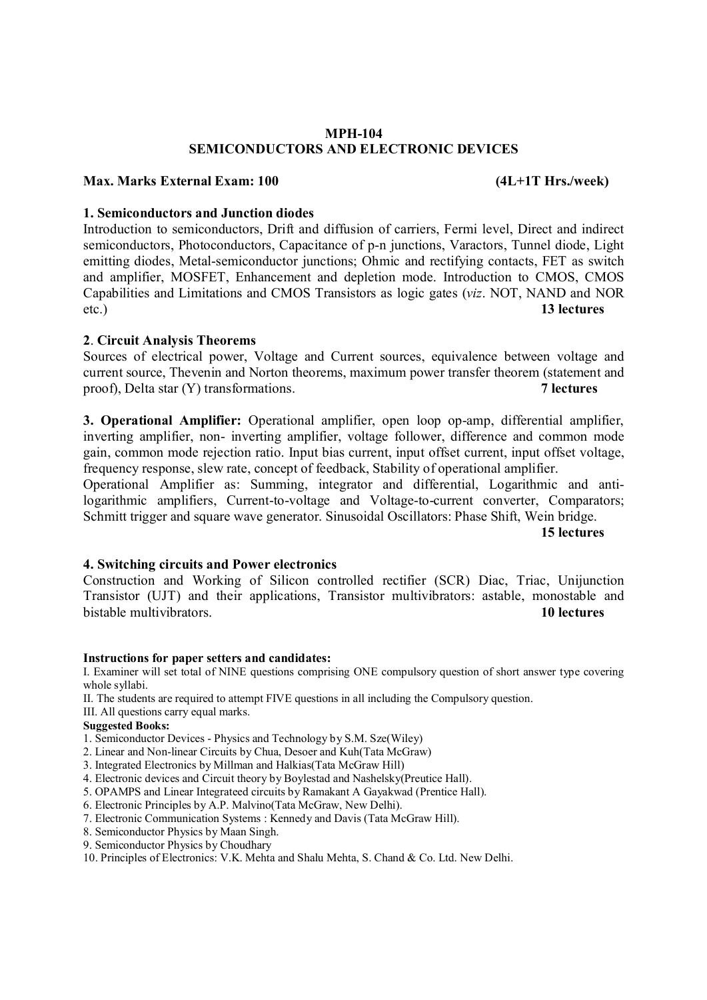#### MPH-104 SEMICONDUCTORS AND ELECTRONIC DEVICES

### Max. Marks External Exam: 100 (4L+1T Hrs./week)

#### 1. Semiconductors and Junction diodes

Introduction to semiconductors, Drift and diffusion of carriers, Fermi level, Direct and indirect semiconductors, Photoconductors, Capacitance of p-n junctions, Varactors, Tunnel diode, Light emitting diodes, Metal-semiconductor junctions; Ohmic and rectifying contacts, FET as switch and amplifier, MOSFET, Enhancement and depletion mode. Introduction to CMOS, CMOS Capabilities and Limitations and CMOS Transistors as logic gates (*viz*. NOT, NAND and NOR etc.) 13 lectures

#### 2. Circuit Analysis Theorems

Sources of electrical power, Voltage and Current sources, equivalence between voltage and current source, Thevenin and Norton theorems, maximum power transfer theorem (statement and proof), Delta star (Y) transformations. 7 lectures

3. Operational Amplifier: Operational amplifier, open loop op-amp, differential amplifier, inverting amplifier, non- inverting amplifier, voltage follower, difference and common mode gain, common mode rejection ratio. Input bias current, input offset current, input offset voltage, frequency response, slew rate, concept of feedback, Stability of operational amplifier.

Operational Amplifier as: Summing, integrator and differential, Logarithmic and antilogarithmic amplifiers, Current-to-voltage and Voltage-to-current converter, Comparators; Schmitt trigger and square wave generator. Sinusoidal Oscillators: Phase Shift, Wein bridge.<br>15 lectures

15 lectures

#### 4. Switching circuits and Power electronics

Construction and Working of Silicon controlled rectifier (SCR) Diac, Triac, Unijunction Transistor (UJT) and their applications, Transistor multivibrators: astable, monostable and bistable multivibrators. The contraction of the contraction of the contraction of the contraction of the contraction of the contraction of the contraction of the contraction of the contraction of the contraction of the con

#### Instructions for paper setters and candidates:

I. Examiner will set total of NINE questions comprising ONE compulsory question of short answer type covering whole syllabi.

II. The students are required to attempt FIVE questions in all including the Compulsory question.

III. All questions carry equal marks.

#### Suggested Books:

- 1. Semiconductor Devices Physics and Technology by S.M. Sze(Wiley)
- 2. Linear and Non-linear Circuits by Chua, Desoer and Kuh(Tata McGraw)
- 3. Integrated Electronics by Millman and Halkias(Tata McGraw Hill)
- 4. Electronic devices and Circuit theory by Boylestad and Nashelsky(Preutice Hall).
- 5. OPAMPS and Linear Integrateed circuits by Ramakant A Gayakwad (Prentice Hall).
- 6. Electronic Principles by A.P. Malvino(Tata McGraw, New Delhi).
- 7. Electronic Communication Systems : Kennedy and Davis (Tata McGraw Hill).
- 8. Semiconductor Physics by Maan Singh.
- 9. Semiconductor Physics by Choudhary

10. Principles of Electronics: V.K. Mehta and Shalu Mehta, S. Chand & Co. Ltd. New Delhi.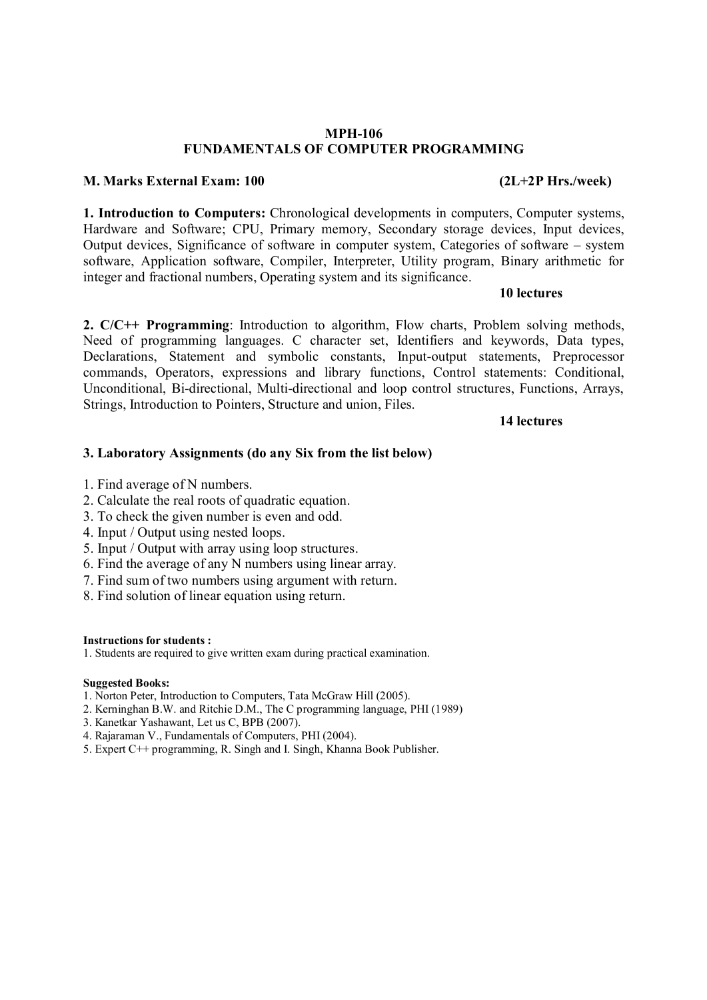#### MPH-106 FUNDAMENTALS OF COMPUTER PROGRAMMING

#### M. Marks External Exam: 100 (2L+2P Hrs./week)

1. Introduction to Computers: Chronological developments in computers, Computer systems, Hardware and Software; CPU, Primary memory, Secondary storage devices, Input devices, Output devices, Significance of software in computer system, Categories of software – system software, Application software, Compiler, Interpreter, Utility program, Binary arithmetic for integer and fractional numbers, Operating system and its significance.

#### 10 lectures

2. C/C++ Programming: Introduction to algorithm, Flow charts, Problem solving methods, Need of programming languages. C character set, Identifiers and keywords, Data types, Declarations, Statement and symbolic constants, Input-output statements, Preprocessor commands, Operators, expressions and library functions, Control statements: Conditional, Unconditional, Bi-directional, Multi-directional and loop control structures, Functions, Arrays, Strings, Introduction to Pointers, Structure and union, Files.

#### 14 lectures

### 3. Laboratory Assignments (do any Six from the list below)

- 1. Find average of N numbers.
- 2. Calculate the real roots of quadratic equation.
- 3. To check the given number is even and odd.
- 4. Input / Output using nested loops.
- 5. Input / Output with array using loop structures.
- 6. Find the average of any N numbers using linear array.
- 7. Find sum of two numbers using argument with return.
- 8. Find solution of linear equation using return.

#### Instructions for students :

1. Students are required to give written exam during practical examination.

#### Suggested Books:

- 1. Norton Peter, Introduction to Computers, Tata McGraw Hill (2005).
- 2. Kerninghan B.W. and Ritchie D.M., The C programming language, PHI (1989)
- 3. Kanetkar Yashawant, Let us C, BPB (2007).
- 4. Rajaraman V., Fundamentals of Computers, PHI (2004).
- 5. Expert C++ programming, R. Singh and I. Singh, Khanna Book Publisher.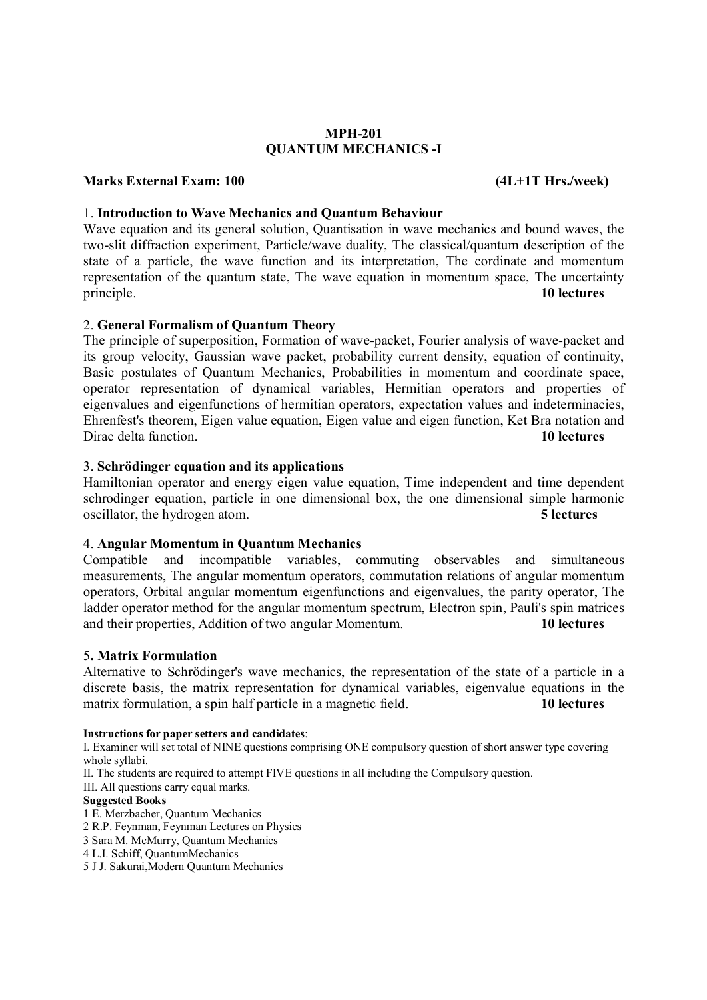### MPH-201 QUANTUM MECHANICS -I

### Marks External Exam: 100 (4L+1T Hrs./week)

### 1. Introduction to Wave Mechanics and Quantum Behaviour

Wave equation and its general solution, Quantisation in wave mechanics and bound waves, the two-slit diffraction experiment, Particle/wave duality, The classical/quantum description of the state of a particle, the wave function and its interpretation, The cordinate and momentum representation of the quantum state, The wave equation in momentum space, The uncertainty principle. 10 lectures

#### 2. General Formalism of Quantum Theory

The principle of superposition, Formation of wave-packet, Fourier analysis of wave-packet and its group velocity, Gaussian wave packet, probability current density, equation of continuity, Basic postulates of Quantum Mechanics, Probabilities in momentum and coordinate space, operator representation of dynamical variables, Hermitian operators and properties of eigenvalues and eigenfunctions of hermitian operators, expectation values and indeterminacies, Ehrenfest's theorem, Eigen value equation, Eigen value and eigen function, Ket Bra notation and Dirac delta function. **10 lectures 10 lectures 10 lectures** 

#### 3. Schrödinger equation and its applications

Hamiltonian operator and energy eigen value equation, Time independent and time dependent schrodinger equation, particle in one dimensional box, the one dimensional simple harmonic oscillator, the hydrogen atom. 5 lectures

#### 4. Angular Momentum in Quantum Mechanics

Compatible and incompatible variables, commuting observables and simultaneous measurements, The angular momentum operators, commutation relations of angular momentum operators, Orbital angular momentum eigenfunctions and eigenvalues, the parity operator, The ladder operator method for the angular momentum spectrum, Electron spin, Pauli's spin matrices and their properties, Addition of two angular Momentum. 10 lectures

#### 5. Matrix Formulation

Alternative to Schrödinger's wave mechanics, the representation of the state of a particle in a discrete basis, the matrix representation for dynamical variables, eigenvalue equations in the matrix formulation, a spin half particle in a magnetic field. 10 lectures

#### Instructions for paper setters and candidates:

I. Examiner will set total of NINE questions comprising ONE compulsory question of short answer type covering whole syllabi.

II. The students are required to attempt FIVE questions in all including the Compulsory question.

III. All questions carry equal marks.

#### Suggested Books

1 E. Merzbacher, Quantum Mechanics

2 R.P. Feynman, Feynman Lectures on Physics

3 Sara M. McMurry, Quantum Mechanics

4 L.I. Schiff, QuantumMechanics

5 J J. Sakurai,Modern Quantum Mechanics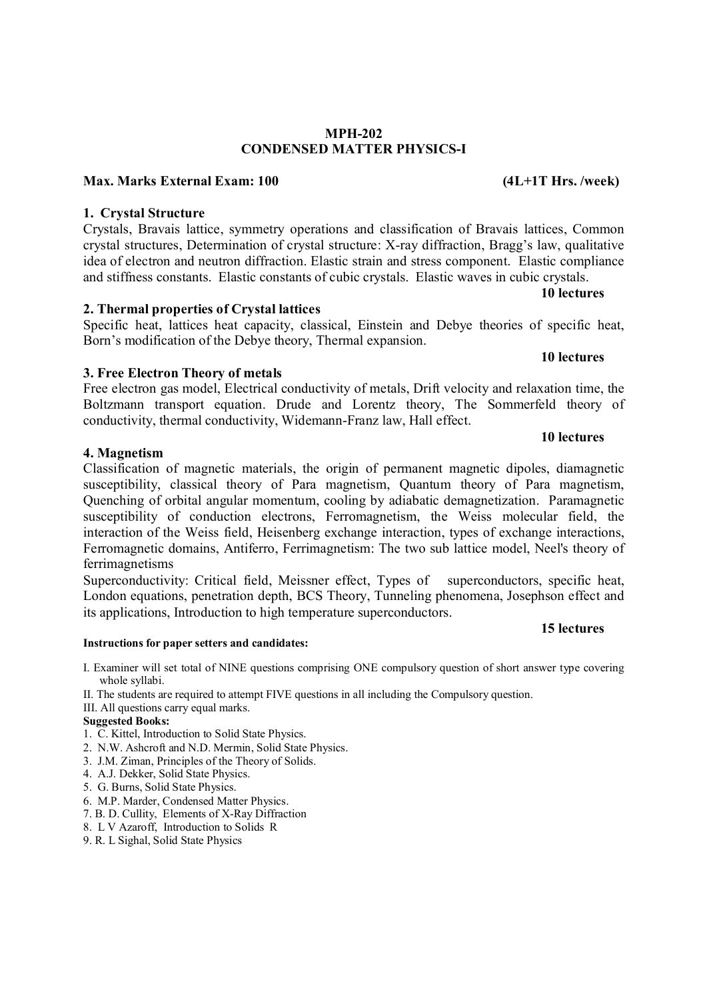# MPH-202 CONDENSED MATTER PHYSICS-I

# Max. Marks External Exam: 100 (4L+1T Hrs. /week)

# 1. Crystal Structure

Crystals, Bravais lattice, symmetry operations and classification of Bravais lattices, Common crystal structures, Determination of crystal structure: X-ray diffraction, Bragg's law, qualitative idea of electron and neutron diffraction. Elastic strain and stress component. Elastic compliance and stiffness constants. Elastic constants of cubic crystals. Elastic waves in cubic crystals.

# 2. Thermal properties of Crystal lattices

Specific heat, lattices heat capacity, classical, Einstein and Debye theories of specific heat, Born's modification of the Debye theory, Thermal expansion.

# 3. Free Electron Theory of metals

Free electron gas model, Electrical conductivity of metals, Drift velocity and relaxation time, the Boltzmann transport equation. Drude and Lorentz theory, The Sommerfeld theory of conductivity, thermal conductivity, Widemann-Franz law, Hall effect.

#### 4. Magnetism

Classification of magnetic materials, the origin of permanent magnetic dipoles, diamagnetic susceptibility, classical theory of Para magnetism, Quantum theory of Para magnetism, Quenching of orbital angular momentum, cooling by adiabatic demagnetization. Paramagnetic susceptibility of conduction electrons, Ferromagnetism, the Weiss molecular field, the interaction of the Weiss field, Heisenberg exchange interaction, types of exchange interactions, Ferromagnetic domains, Antiferro, Ferrimagnetism: The two sub lattice model, Neel's theory of ferrimagnetisms

Superconductivity: Critical field, Meissner effect, Types of superconductors, specific heat, London equations, penetration depth, BCS Theory, Tunneling phenomena, Josephson effect and its applications, Introduction to high temperature superconductors.

#### Instructions for paper setters and candidates:

- I. Examiner will set total of NINE questions comprising ONE compulsory question of short answer type covering whole syllabi.
- II. The students are required to attempt FIVE questions in all including the Compulsory question.
- III. All questions carry equal marks.

#### Suggested Books:

- 1. C. Kittel, Introduction to Solid State Physics.
- 2. N.W. Ashcroft and N.D. Mermin, Solid State Physics.
- 3. J.M. Ziman, Principles of the Theory of Solids.
- 4. A.J. Dekker, Solid State Physics.
- 5. G. Burns, Solid State Physics.
- 6. M.P. Marder, Condensed Matter Physics.
- 7. B. D. Cullity, Elements of X-Ray Diffraction
- 8. L V Azaroff, Introduction to Solids R
- 9. R. L Sighal, Solid State Physics

#### 10 lectures

#### 10 lectures

#### 15 lectures

# 10 lectures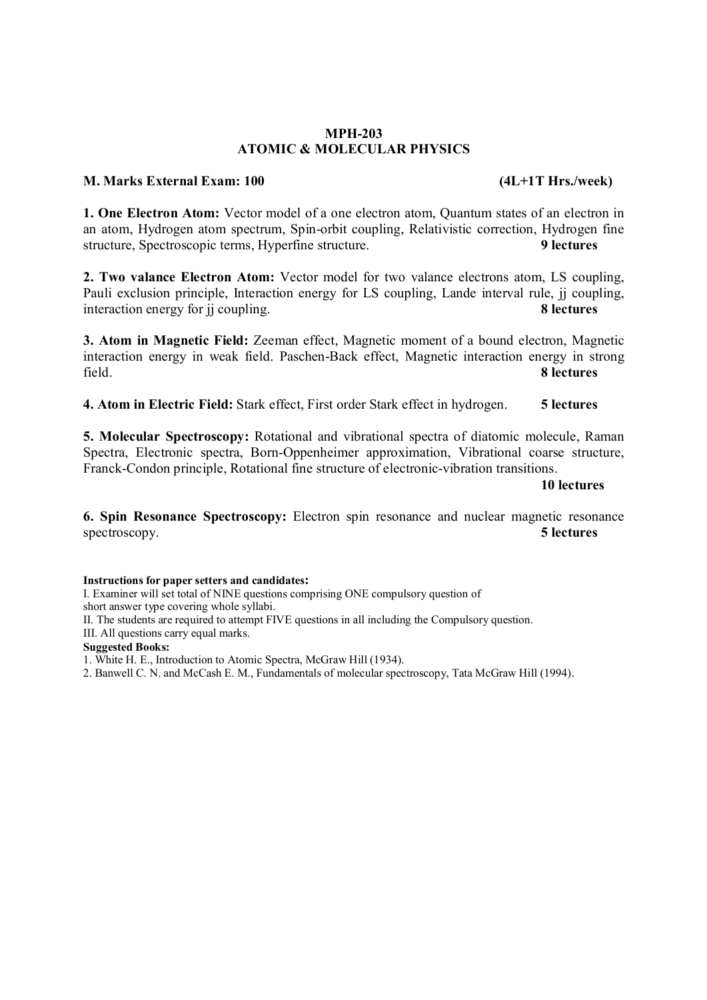#### MPH-203 ATOMIC & MOLECULAR PHYSICS

### M. Marks External Exam: 100 (4L+1T Hrs./week)

1. One Electron Atom: Vector model of a one electron atom, Quantum states of an electron in an atom, Hydrogen atom spectrum, Spin-orbit coupling, Relativistic correction, Hydrogen fine structure, Spectroscopic terms, Hyperfine structure.

2. Two valance Electron Atom: Vector model for two valance electrons atom, LS coupling, Pauli exclusion principle, Interaction energy for LS coupling, Lande interval rule, jj coupling, interaction energy for ii coupling interaction energy for ji coupling.

3. Atom in Magnetic Field: Zeeman effect, Magnetic moment of a bound electron, Magnetic interaction energy in weak field. Paschen-Back effect, Magnetic interaction energy in strong field. 8 lectures

4. Atom in Electric Field: Stark effect, First order Stark effect in hydrogen. 5 lectures

5. Molecular Spectroscopy: Rotational and vibrational spectra of diatomic molecule, Raman Spectra, Electronic spectra, Born-Oppenheimer approximation, Vibrational coarse structure, Franck-Condon principle, Rotational fine structure of electronic-vibration transitions.

10 lectures

6. Spin Resonance Spectroscopy: Electron spin resonance and nuclear magnetic resonance spectroscopy. 5 lectures

Instructions for paper setters and candidates:

I. Examiner will set total of NINE questions comprising ONE compulsory question of

short answer type covering whole syllabi.

II. The students are required to attempt FIVE questions in all including the Compulsory question.

III. All questions carry equal marks.

Suggested Books:

1. White H. E., Introduction to Atomic Spectra, McGraw Hill (1934).

2. Banwell C. N. and McCash E. M., Fundamentals of molecular spectroscopy, Tata McGraw Hill (1994).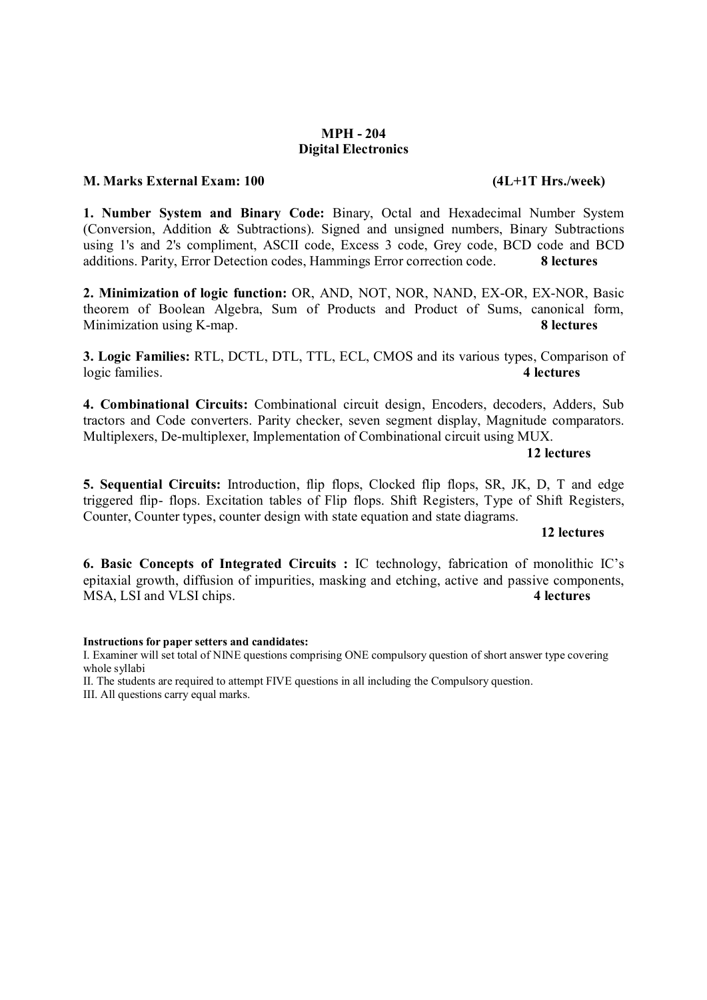### MPH - 204 Digital Electronics

### M. Marks External Exam: 100 (4L+1T Hrs./week)

1. Number System and Binary Code: Binary, Octal and Hexadecimal Number System (Conversion, Addition & Subtractions). Signed and unsigned numbers, Binary Subtractions using 1's and 2's compliment, ASCII code, Excess 3 code, Grey code, BCD code and BCD additions. Parity, Error Detection codes, Hammings Error correction code. 8 lectures

2. Minimization of logic function: OR, AND, NOT, NOR, NAND, EX-OR, EX-NOR, Basic theorem of Boolean Algebra, Sum of Products and Product of Sums, canonical form, Minimization using K-map. **8 lectures 8 lectures** 

3. Logic Families: RTL, DCTL, DTL, TTL, ECL, CMOS and its various types, Comparison of logic families. 4 lectures

4. Combinational Circuits: Combinational circuit design, Encoders, decoders, Adders, Sub tractors and Code converters. Parity checker, seven segment display, Magnitude comparators. Multiplexers, De-multiplexer, Implementation of Combinational circuit using MUX.

12 lectures

5. Sequential Circuits: Introduction, flip flops, Clocked flip flops, SR, JK, D, T and edge triggered flip- flops. Excitation tables of Flip flops. Shift Registers, Type of Shift Registers, Counter, Counter types, counter design with state equation and state diagrams.

# 12 lectures

6. Basic Concepts of Integrated Circuits : IC technology, fabrication of monolithic IC's epitaxial growth, diffusion of impurities, masking and etching, active and passive components, MSA, LSI and VLSI chips. 4 lectures

#### Instructions for paper setters and candidates:

I. Examiner will set total of NINE questions comprising ONE compulsory question of short answer type covering whole syllabi

II. The students are required to attempt FIVE questions in all including the Compulsory question.

III. All questions carry equal marks.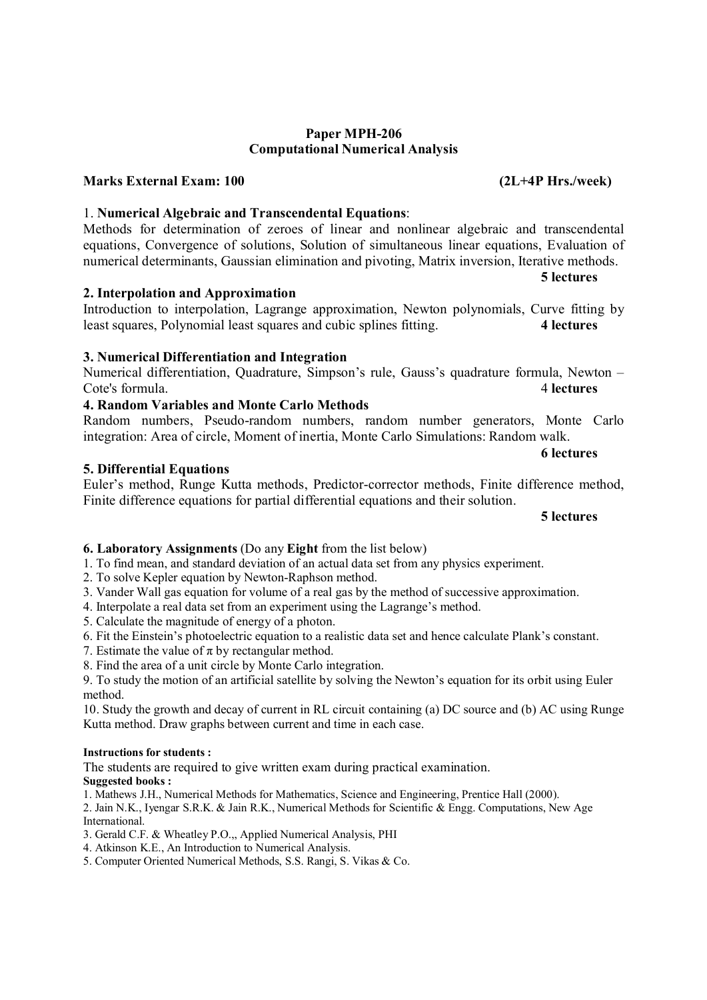#### Paper MPH-206 Computational Numerical Analysis

### Marks External Exam: 100 (2L+4P Hrs./week)

### 1. Numerical Algebraic and Transcendental Equations:

Methods for determination of zeroes of linear and nonlinear algebraic and transcendental equations, Convergence of solutions, Solution of simultaneous linear equations, Evaluation of numerical determinants, Gaussian elimination and pivoting, Matrix inversion, Iterative methods.

Introduction to interpolation, Lagrange approximation, Newton polynomials, Curve fitting by least squares, Polynomial least squares and cubic splines fitting. 4 lectures

### 2. Interpolation and Approximation

# 3. Numerical Differentiation and Integration

# Numerical differentiation, Quadrature, Simpson's rule, Gauss's quadrature formula, Newton – Cote's formula. 4 lectures

# 4. Random Variables and Monte Carlo Methods

|  | Random numbers, Pseudo-random numbers, random number generators, Monte Carlo          |  |  |  |
|--|---------------------------------------------------------------------------------------|--|--|--|
|  | integration: Area of circle, Moment of inertia, Monte Carlo Simulations: Random walk. |  |  |  |

#### 5. Differential Equations

### Euler's method, Runge Kutta methods, Predictor-corrector methods, Finite difference method, Finite difference equations for partial differential equations and their solution.

#### 5 lectures

### 6. Laboratory Assignments (Do any Eight from the list below)

1. To find mean, and standard deviation of an actual data set from any physics experiment.

2. To solve Kepler equation by Newton-Raphson method.

3. Vander Wall gas equation for volume of a real gas by the method of successive approximation.

4. Interpolate a real data set from an experiment using the Lagrange's method.

5. Calculate the magnitude of energy of a photon.

6. Fit the Einstein's photoelectric equation to a realistic data set and hence calculate Plank's constant.

7. Estimate the value of  $\pi$  by rectangular method.

8. Find the area of a unit circle by Monte Carlo integration.

9. To study the motion of an artificial satellite by solving the Newton's equation for its orbit using Euler method.

10. Study the growth and decay of current in RL circuit containing (a) DC source and (b) AC using Runge Kutta method. Draw graphs between current and time in each case.

#### Instructions for students :

The students are required to give written exam during practical examination.

# Suggested books :

1. Mathews J.H., Numerical Methods for Mathematics, Science and Engineering, Prentice Hall (2000).

2. Jain N.K., Iyengar S.R.K. & Jain R.K., Numerical Methods for Scientific & Engg. Computations, New Age International.

3. Gerald C.F. & Wheatley P.O.,, Applied Numerical Analysis, PHI

4. Atkinson K.E., An Introduction to Numerical Analysis.

5. Computer Oriented Numerical Methods, S.S. Rangi, S. Vikas & Co.

5 lectures

6 lectures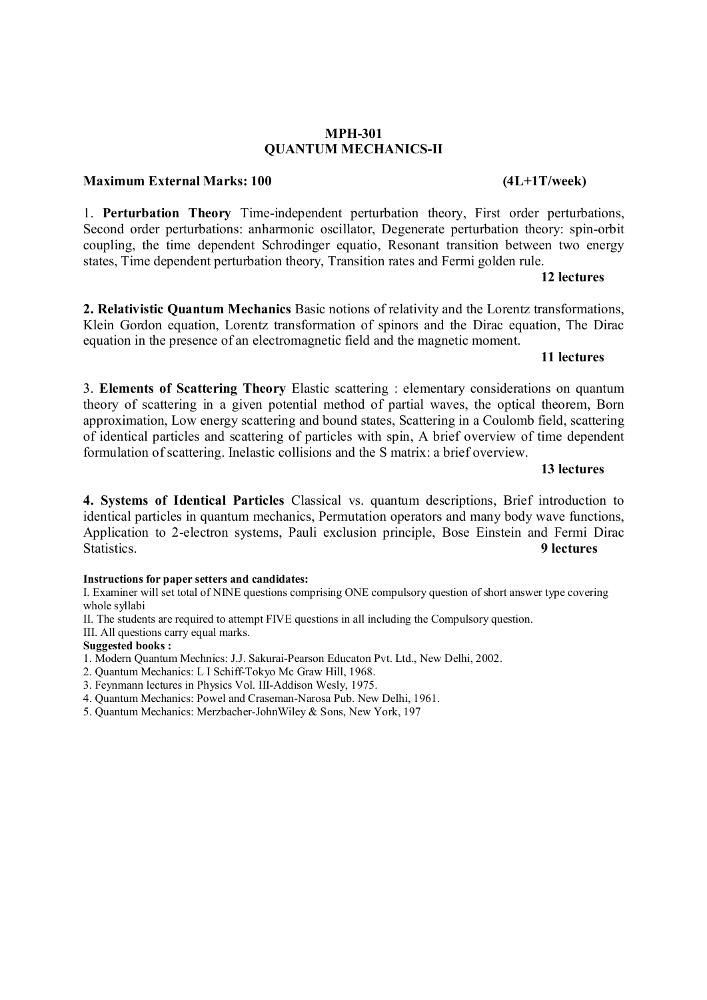#### MPH-301 QUANTUM MECHANICS-II

#### Maximum External Marks: 100 (4L+1T/week)

1. Perturbation Theory Time-independent perturbation theory, First order perturbations, Second order perturbations: anharmonic oscillator, Degenerate perturbation theory: spin-orbit coupling, the time dependent Schrodinger equatio, Resonant transition between two energy states, Time dependent perturbation theory, Transition rates and Fermi golden rule.

### 12 lectures

2. Relativistic Quantum Mechanics Basic notions of relativity and the Lorentz transformations, Klein Gordon equation, Lorentz transformation of spinors and the Dirac equation, The Dirac equation in the presence of an electromagnetic field and the magnetic moment.

#### 11 lectures

3. Elements of Scattering Theory Elastic scattering : elementary considerations on quantum theory of scattering in a given potential method of partial waves, the optical theorem, Born approximation, Low energy scattering and bound states, Scattering in a Coulomb field, scattering of identical particles and scattering of particles with spin, A brief overview of time dependent formulation of scattering. Inelastic collisions and the S matrix: a brief overview.

# 13 lectures

4. Systems of Identical Particles Classical vs. quantum descriptions, Brief introduction to identical particles in quantum mechanics, Permutation operators and many body wave functions, Application to 2-electron systems, Pauli exclusion principle, Bose Einstein and Fermi Dirac Statistics. 9 lectures

#### Instructions for paper setters and candidates:

I. Examiner will set total of NINE questions comprising ONE compulsory question of short answer type covering whole syllabi

II. The students are required to attempt FIVE questions in all including the Compulsory question.

III. All questions carry equal marks.

#### Suggested books :

1. Modern Quantum Mechnics: J.J. Sakurai-Pearson Educaton Pvt. Ltd., New Delhi, 2002.

- 2. Quantum Mechanics: L I Schiff-Tokyo Mc Graw Hill, 1968.
- 3. Feynmann lectures in Physics Vol. III-Addison Wesly, 1975.
- 4. Quantum Mechanics: Powel and Craseman-Narosa Pub. New Delhi, 1961.
- 5. Quantum Mechanics: Merzbacher-JohnWiley & Sons, New York, 197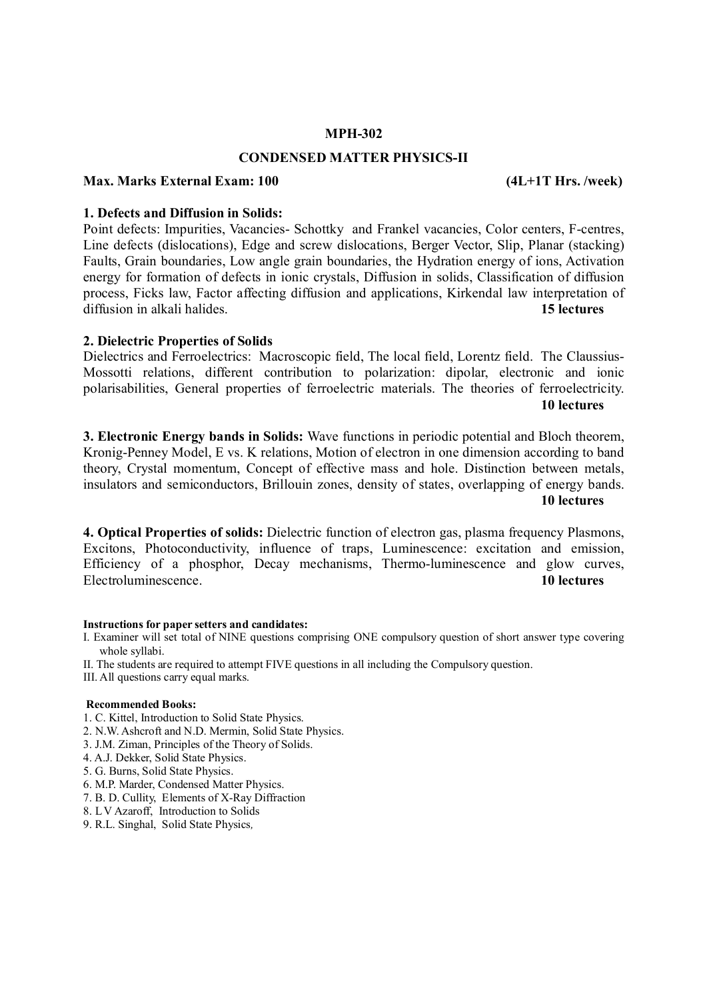#### MPH-302

#### CONDENSED MATTER PHYSICS-II

#### Max. Marks External Exam: 100 (4L+1T Hrs. /week)

#### 1. Defects and Diffusion in Solids:

Point defects: Impurities, Vacancies- Schottky and Frankel vacancies, Color centers, F-centres, Line defects (dislocations), Edge and screw dislocations, Berger Vector, Slip, Planar (stacking) Faults, Grain boundaries, Low angle grain boundaries, the Hydration energy of ions, Activation energy for formation of defects in ionic crystals, Diffusion in solids, Classification of diffusion process, Ficks law, Factor affecting diffusion and applications, Kirkendal law interpretation of diffusion in alkali halides **15** diffusion in alkali halides.

#### 2. Dielectric Properties of Solids

Dielectrics and Ferroelectrics: Macroscopic field, The local field, Lorentz field. The Claussius-Mossotti relations, different contribution to polarization: dipolar, electronic and ionic polarisabilities, General properties of ferroelectric materials. The theories of ferroelectricity. 10 lectures

3. Electronic Energy bands in Solids: Wave functions in periodic potential and Bloch theorem, Kronig-Penney Model, E vs. K relations, Motion of electron in one dimension according to band theory, Crystal momentum, Concept of effective mass and hole. Distinction between metals, insulators and semiconductors, Brillouin zones, density of states, overlapping of energy bands. 10 lectures

4. Optical Properties of solids: Dielectric function of electron gas, plasma frequency Plasmons, Excitons, Photoconductivity, influence of traps, Luminescence: excitation and emission, Efficiency of a phosphor, Decay mechanisms, Thermo-luminescence and glow curves, Electroluminescence. 10 lectures

#### Instructions for paper setters and candidates:

- I. Examiner will set total of NINE questions comprising ONE compulsory question of short answer type covering whole syllabi.
- II. The students are required to attempt FIVE questions in all including the Compulsory question.
- III. All questions carry equal marks.

#### Recommended Books:

- 1. C. Kittel, Introduction to Solid State Physics.
- 2. N.W. Ashcroft and N.D. Mermin, Solid State Physics.
- 3. J.M. Ziman, Principles of the Theory of Solids.
- 4. A.J. Dekker, Solid State Physics.
- 5. G. Burns, Solid State Physics.
- 6. M.P. Marder, Condensed Matter Physics.
- 7. B. D. Cullity, Elements of X-Ray Diffraction
- 8. L V Azaroff, Introduction to Solids
- 9. R.L. Singhal, Solid State Physics*,*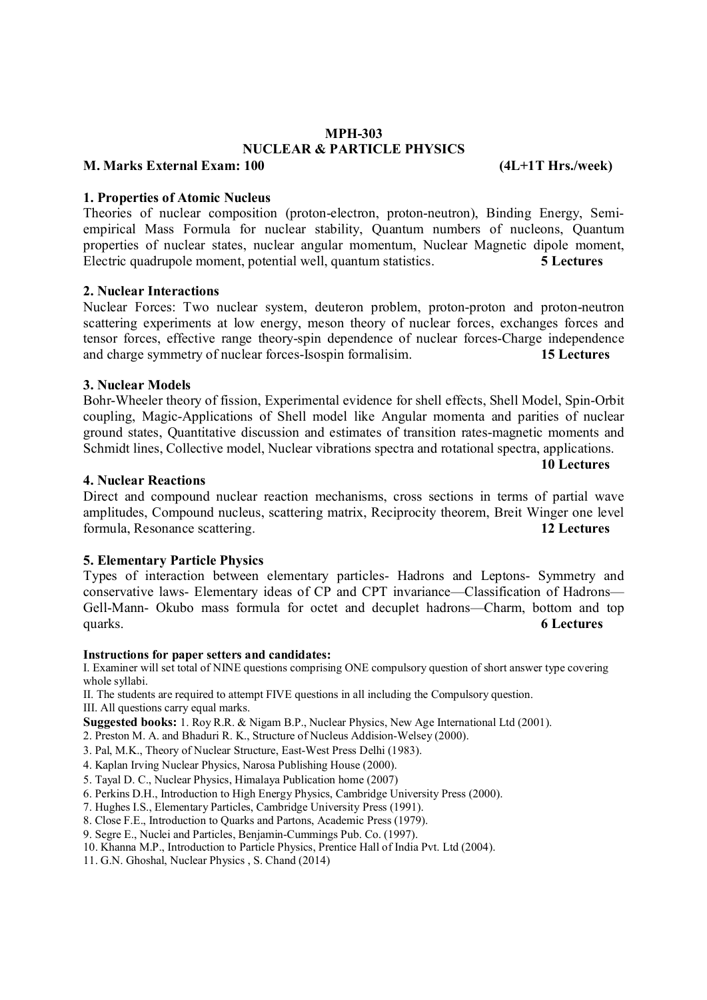### MPH-303 NUCLEAR & PARTICLE PHYSICS

# M. Marks External Exam: 100 (4L+1T Hrs./week)

#### 1. Properties of Atomic Nucleus

Theories of nuclear composition (proton-electron, proton-neutron), Binding Energy, Semiempirical Mass Formula for nuclear stability, Quantum numbers of nucleons, Quantum properties of nuclear states, nuclear angular momentum, Nuclear Magnetic dipole moment, Electric quadrupole moment, potential well, quantum statistics. 5 **5** Lectures

#### 2. Nuclear Interactions

Nuclear Forces: Two nuclear system, deuteron problem, proton-proton and proton-neutron scattering experiments at low energy, meson theory of nuclear forces, exchanges forces and tensor forces, effective range theory-spin dependence of nuclear forces-Charge independence and charge symmetry of nuclear forces-Isospin formalisim. 15 Lectures

#### 3. Nuclear Models

Bohr-Wheeler theory of fission, Experimental evidence for shell effects, Shell Model, Spin-Orbit coupling, Magic-Applications of Shell model like Angular momenta and parities of nuclear ground states, Quantitative discussion and estimates of transition rates-magnetic moments and Schmidt lines, Collective model, Nuclear vibrations spectra and rotational spectra, applications.

10 Lectures

#### 4. Nuclear Reactions

Direct and compound nuclear reaction mechanisms, cross sections in terms of partial wave amplitudes, Compound nucleus, scattering matrix, Reciprocity theorem, Breit Winger one level formula, Resonance scattering. 12 Lectures

### 5. Elementary Particle Physics

Types of interaction between elementary particles- Hadrons and Leptons- Symmetry and conservative laws- Elementary ideas of CP and CPT invariance—Classification of Hadrons— Gell-Mann- Okubo mass formula for octet and decuplet hadrons—Charm, bottom and top quarks. 6 Lectures

#### Instructions for paper setters and candidates:

I. Examiner will set total of NINE questions comprising ONE compulsory question of short answer type covering whole syllabi.

II. The students are required to attempt FIVE questions in all including the Compulsory question. III. All questions carry equal marks.

Suggested books: 1. Roy R.R. & Nigam B.P., Nuclear Physics, New Age International Ltd (2001).

2. Preston M. A. and Bhaduri R. K., Structure of Nucleus Addision-Welsey (2000).

- 3. Pal, M.K., Theory of Nuclear Structure, East-West Press Delhi (1983).
- 4. Kaplan Irving Nuclear Physics, Narosa Publishing House (2000).
- 5. Tayal D. C., Nuclear Physics, Himalaya Publication home (2007)
- 6. Perkins D.H., Introduction to High Energy Physics, Cambridge University Press (2000).
- 7. Hughes I.S., Elementary Particles, Cambridge University Press (1991).

8. Close F.E., Introduction to Quarks and Partons, Academic Press (1979).

9. Segre E., Nuclei and Particles, Benjamin-Cummings Pub. Co. (1997).

10. Khanna M.P., Introduction to Particle Physics, Prentice Hall of India Pvt. Ltd (2004).

11. G.N. Ghoshal, Nuclear Physics , S. Chand (2014)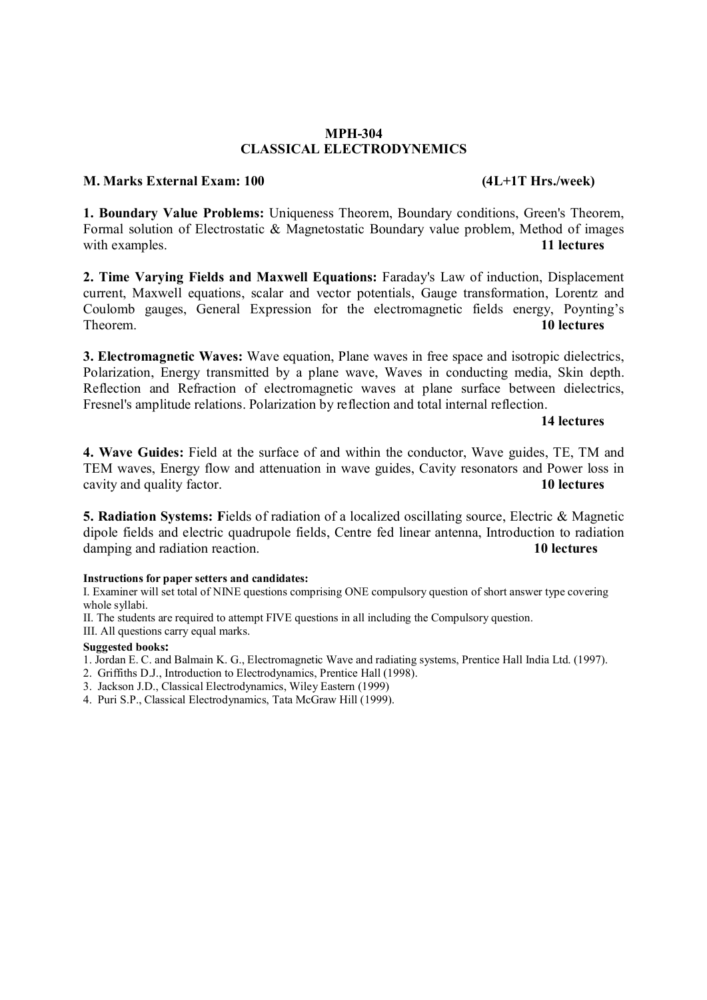### MPH-304 CLASSICAL ELECTRODYNEMICS

### M. Marks External Exam: 100 (4L+1T Hrs./week)

1. Boundary Value Problems: Uniqueness Theorem, Boundary conditions, Green's Theorem, Formal solution of Electrostatic & Magnetostatic Boundary value problem, Method of images with examples. 11 lectures

2. Time Varying Fields and Maxwell Equations: Faraday's Law of induction, Displacement current, Maxwell equations, scalar and vector potentials, Gauge transformation, Lorentz and Coulomb gauges, General Expression for the electromagnetic fields energy, Poynting's Theorem. 10 lectures

3. Electromagnetic Waves: Wave equation, Plane waves in free space and isotropic dielectrics, Polarization, Energy transmitted by a plane wave, Waves in conducting media, Skin depth. Reflection and Refraction of electromagnetic waves at plane surface between dielectrics, Fresnel's amplitude relations. Polarization by reflection and total internal reflection.

14 lectures

4. Wave Guides: Field at the surface of and within the conductor, Wave guides, TE, TM and TEM waves, Energy flow and attenuation in wave guides, Cavity resonators and Power loss in cavity and quality factor. 10 lectures

5. Radiation Systems: Fields of radiation of a localized oscillating source, Electric & Magnetic dipole fields and electric quadrupole fields, Centre fed linear antenna, Introduction to radiation damping and radiation reaction. 10 lectures

#### Instructions for paper setters and candidates:

I. Examiner will set total of NINE questions comprising ONE compulsory question of short answer type covering whole syllabi.

- II. The students are required to attempt FIVE questions in all including the Compulsory question.
- III. All questions carry equal marks.

#### Suggested books:

- 1. Jordan E. C. and Balmain K. G., Electromagnetic Wave and radiating systems, Prentice Hall India Ltd. (1997).
- 2. Griffiths D.J., Introduction to Electrodynamics, Prentice Hall (1998).
- 3. Jackson J.D., Classical Electrodynamics, Wiley Eastern (1999)
- 4. Puri S.P., Classical Electrodynamics, Tata McGraw Hill (1999).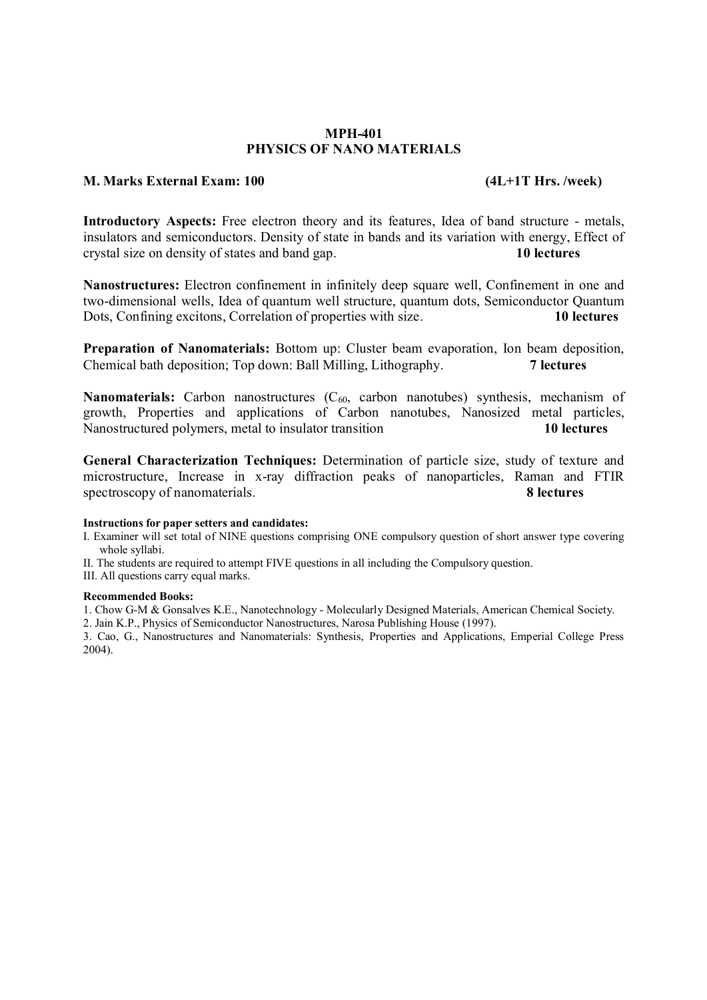#### MPH-401 PHYSICS OF NANO MATERIALS

#### M. Marks External Exam: 100 (4L+1T Hrs. /week)

Introductory Aspects: Free electron theory and its features, Idea of band structure - metals, insulators and semiconductors. Density of state in bands and its variation with energy, Effect of crystal size on density of states and band gap. 10 lectures

Nanostructures: Electron confinement in infinitely deep square well, Confinement in one and two-dimensional wells, Idea of quantum well structure, quantum dots, Semiconductor Quantum Dots, Confining excitons, Correlation of properties with size. 10 lectures

Preparation of Nanomaterials: Bottom up: Cluster beam evaporation, Ion beam deposition, Chemical bath deposition; Top down: Ball Milling, Lithography. 7 lectures

**Nanomaterials:** Carbon nanostructures  $(C_{60}$ , carbon nanotubes) synthesis, mechanism of growth, Properties and applications of Carbon nanotubes, Nanosized metal particles, Nanostructured polymers, metal to insulator transition 10 lectures

General Characterization Techniques: Determination of particle size, study of texture and microstructure, Increase in x-ray diffraction peaks of nanoparticles, Raman and FTIR spectroscopy of nanomaterials. 8 lectures

#### Instructions for paper setters and candidates:

I. Examiner will set total of NINE questions comprising ONE compulsory question of short answer type covering whole syllabi.

II. The students are required to attempt FIVE questions in all including the Compulsory question.

III. All questions carry equal marks.

#### Recommended Books:

1. Chow G-M & Gonsalves K.E., Nanotechnology - Molecularly Designed Materials, American Chemical Society.

2. Jain K.P., Physics of Semiconductor Nanostructures, Narosa Publishing House (1997).

3. Cao, G., Nanostructures and Nanomaterials: Synthesis, Properties and Applications, Emperial College Press 2004).